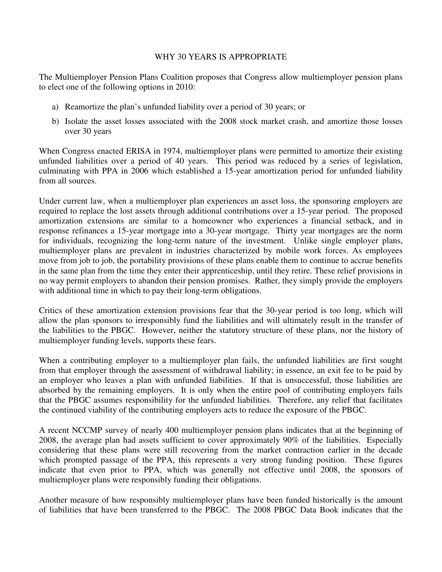## WHY 30 YEARS IS APPROPRIATE

The Multiemployer Pension Plans Coalition proposes that Congress allow multiemployer pension plans to elect one of the following options in 2010:

- a) Reamortize the plan's unfunded liability over a period of 30 years; or
- b) Isolate the asset losses associated with the 2008 stock market crash, and amortize those losses over 30 years

When Congress enacted ERISA in 1974, multiemployer plans were permitted to amortize their existing unfunded liabilities over a period of 40 years. This period was reduced by a series of legislation, culminating with PPA in 2006 which established a 15-year amortization period for unfunded liability from all sources.

Under current law, when a multiemployer plan experiences an asset loss, the sponsoring employers are required to replace the lost assets through additional contributions over a 15-year period. The proposed amortization extensions are similar to a homeowner who experiences a financial setback, and in response refinances a 15-year mortgage into a 30-year mortgage. Thirty year mortgages are the norm for individuals, recognizing the long-term nature of the investment. Unlike single employer plans, multiemployer plans are prevalent in industries characterized by mobile work forces. As employees move from job to job, the portability provisions of these plans enable them to continue to accrue benefits in the same plan from the time they enter their apprenticeship, until they retire. These relief provisions in no way permit employers to abandon their pension promises. Rather, they simply provide the employers with additional time in which to pay their long-term obligations.

Critics of these amortization extension provisions fear that the 30-year period is too long, which will allow the plan sponsors to irresponsibly fund the liabilities and will ultimately result in the transfer of the liabilities to the PBGC. However, neither the statutory structure of these plans, nor the history of multiemployer funding levels, supports these fears.

When a contributing employer to a multiemployer plan fails, the unfunded liabilities are first sought from that employer through the assessment of withdrawal liability; in essence, an exit fee to be paid by an employer who leaves a plan with unfunded liabilities. If that is unsuccessful, those liabilities are absorbed by the remaining employers. It is only when the entire pool of contributing employers fails that the PBGC assumes responsibility for the unfunded liabilities. Therefore, any relief that facilitates the continued viability of the contributing employers acts to reduce the exposure of the PBGC.

A recent NCCMP survey of nearly 400 multiemployer pension plans indicates that at the beginning of 2008, the average plan had assets sufficient to cover approximately 90% of the liabilities. Especially considering that these plans were still recovering from the market contraction earlier in the decade which prompted passage of the PPA, this represents a very strong funding position. These figures indicate that even prior to PPA, which was generally not effective until 2008, the sponsors of multiemployer plans were responsibly funding their obligations.

Another measure of how responsibly multiemployer plans have been funded historically is the amount of liabilities that have been transferred to the PBGC. The 2008 PBGC Data Book indicates that the